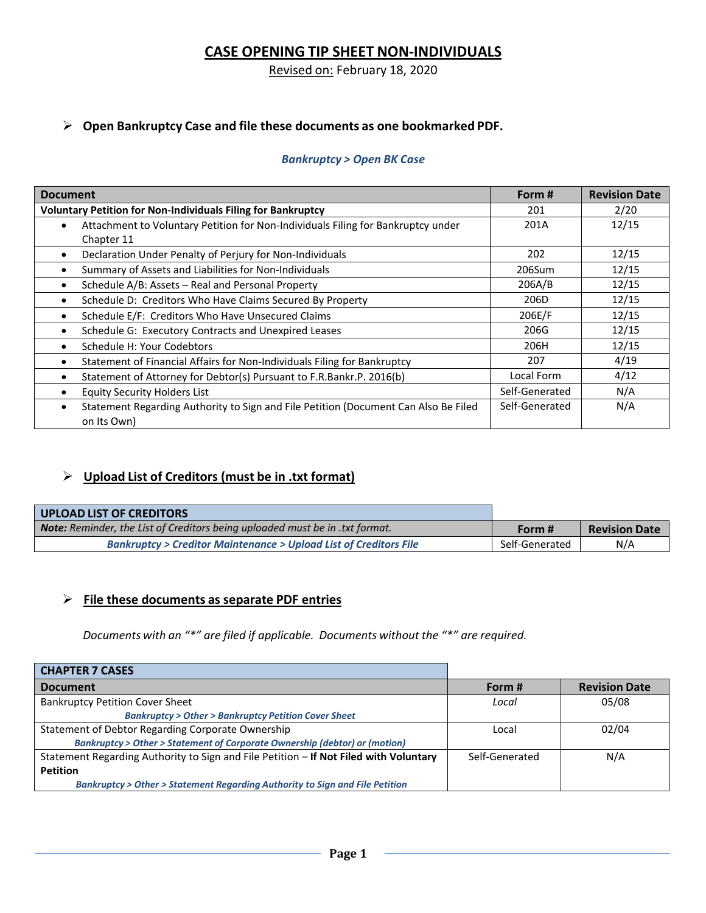# **CASE OPENING TIP SHEET NON‐INDIVIDUALS**

## Revised on: February 18, 2020

### **Open Bankruptcy Case and file these documents as one bookmarked PDF.**

#### *Bankruptcy > Open BK Case*

| <b>Document</b>                                                                                                 | Form #         | <b>Revision Date</b> |
|-----------------------------------------------------------------------------------------------------------------|----------------|----------------------|
| <b>Voluntary Petition for Non-Individuals Filing for Bankruptcy</b>                                             | 201            | 2/20                 |
| Attachment to Voluntary Petition for Non-Individuals Filing for Bankruptcy under                                | 201A           | 12/15                |
| Chapter 11                                                                                                      |                |                      |
| Declaration Under Penalty of Perjury for Non-Individuals<br>$\bullet$                                           | 202            | 12/15                |
| Summary of Assets and Liabilities for Non-Individuals<br>$\bullet$                                              | 206Sum         | 12/15                |
| Schedule A/B: Assets - Real and Personal Property<br>$\bullet$                                                  | 206A/B         | 12/15                |
| Schedule D: Creditors Who Have Claims Secured By Property<br>$\bullet$                                          | 206D           | 12/15                |
| Schedule E/F: Creditors Who Have Unsecured Claims<br>$\bullet$                                                  | 206E/F         | 12/15                |
| Schedule G: Executory Contracts and Unexpired Leases                                                            | 206G           | 12/15                |
| Schedule H: Your Codebtors                                                                                      | 206H           | 12/15                |
| Statement of Financial Affairs for Non-Individuals Filing for Bankruptcy<br>$\bullet$                           | 207            | 4/19                 |
| Statement of Attorney for Debtor(s) Pursuant to F.R.Bankr.P. 2016(b)                                            | Local Form     | 4/12                 |
| <b>Equity Security Holders List</b>                                                                             | Self-Generated | N/A                  |
| Statement Regarding Authority to Sign and File Petition (Document Can Also Be Filed<br>$\bullet$<br>on Its Own) | Self-Generated | N/A                  |

# **Upload List of Creditors (must be in .txt format)**

| UPLOAD LIST OF CREDITORS                                                            |                |                      |
|-------------------------------------------------------------------------------------|----------------|----------------------|
| <b>Note:</b> Reminder, the List of Creditors being uploaded must be in .txt format. | Form #         | <b>Revision Date</b> |
| <b>Bankruptcy &gt; Creditor Maintenance &gt; Upload List of Creditors File</b>      | Self-Generated | N/A                  |

### **File these documents as separate PDF entries**

*Documents with an "\*" are filed if applicable. Documents without the "\*" are required.*

| <b>CHAPTER 7 CASES</b>                                                                    |                |                      |
|-------------------------------------------------------------------------------------------|----------------|----------------------|
| <b>Document</b>                                                                           | Form #         | <b>Revision Date</b> |
| <b>Bankruptcy Petition Cover Sheet</b>                                                    | Local          | 05/08                |
| <b>Bankruptcy &gt; Other &gt; Bankruptcy Petition Cover Sheet</b>                         |                |                      |
| Statement of Debtor Regarding Corporate Ownership                                         | Local          | 02/04                |
| <b>Bankruptcy &gt; Other &gt; Statement of Corporate Ownership (debtor) or (motion)</b>   |                |                      |
| Statement Regarding Authority to Sign and File Petition - If Not Filed with Voluntary     | Self-Generated | N/A                  |
| <b>Petition</b>                                                                           |                |                      |
| <b>Bankruptcy &gt; Other &gt; Statement Regarding Authority to Sign and File Petition</b> |                |                      |